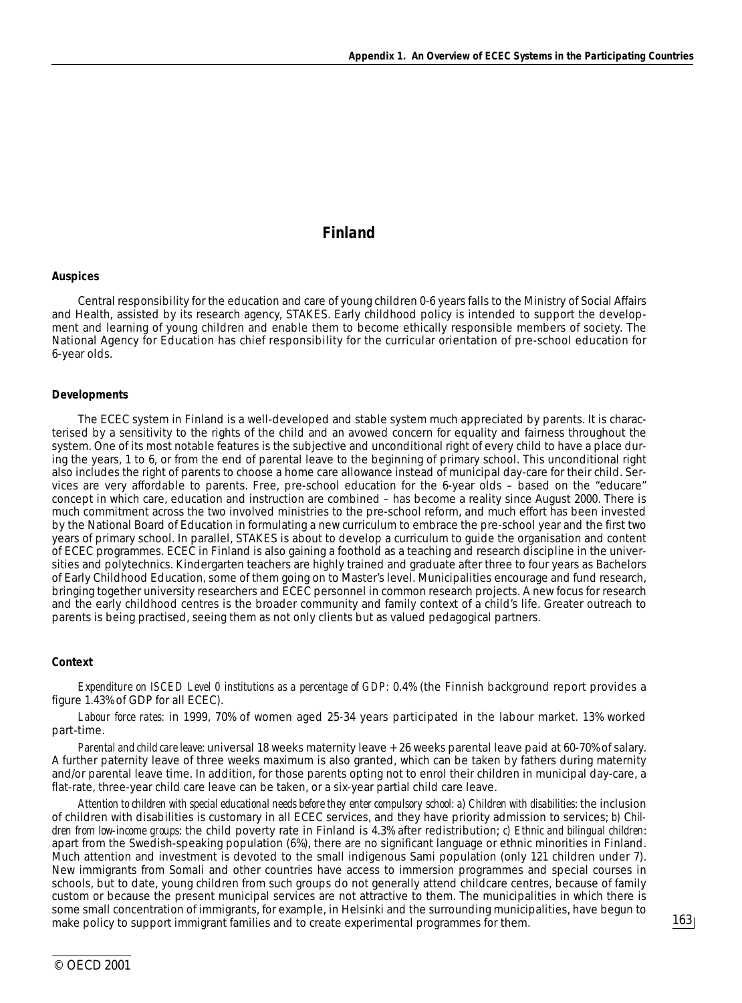# **Finland**

## **Auspices**

Central responsibility for the education and care of young children 0-6 years falls to the Ministry of Social Affairs and Health, assisted by its research agency, STAKES. Early childhood policy is intended to support the development and learning of young children and enable them to become ethically responsible members of society. The National Agency for Education has chief responsibility for the curricular orientation of pre-school education for 6-year olds.

# **Developments**

The ECEC system in Finland is a well-developed and stable system much appreciated by parents. It is characterised by a sensitivity to the rights of the child and an avowed concern for equality and fairness throughout the system. One of its most notable features is the subjective and unconditional right of every child to have a place during the years, 1 to 6, or from the end of parental leave to the beginning of primary school. This unconditional right also includes the right of parents to choose a home care allowance instead of municipal day-care for their child. Services are very affordable to parents. Free, pre-school education for the 6-year olds – based on the "educare" concept in which care, education and instruction are combined – has become a reality since August 2000. There is much commitment across the two involved ministries to the pre-school reform, and much effort has been invested by the National Board of Education in formulating a new curriculum to embrace the pre-school year and the first two years of primary school. In parallel, STAKES is about to develop a curriculum to guide the organisation and content of ECEC programmes. ECEC in Finland is also gaining a foothold as a teaching and research discipline in the universities and polytechnics. Kindergarten teachers are highly trained and graduate after three to four years as Bachelors of Early Childhood Education, some of them going on to Master's level. Municipalities encourage and fund research, bringing together university researchers and ECEC personnel in common research projects. A new focus for research and the early childhood centres is the broader community and family context of a child's life. Greater outreach to parents is being practised, seeing them as not only clients but as valued pedagogical partners.

#### **Context**

*Expenditure on ISCED Level 0 institutions as a percentage of GDP:* 0.4% (the Finnish background report provides a figure 1.43% of GDP for all ECEC).

*Labour force rates:* in 1999, 70% of women aged 25-34 years participated in the labour market. 13% worked part-time.

*Parental and child care leave*: universal 18 weeks maternity leave + 26 weeks parental leave paid at 60-70% of salary. A further paternity leave of three weeks maximum is also granted, which can be taken by fathers during maternity and/or parental leave time. In addition, for those parents opting not to enrol their children in municipal day-care, a flat-rate, three-year child care leave can be taken, or a six-year partial child care leave.

*Attention to children with special educational needs before they enter compulsory school: a) Children with disabilities*: the inclusion of children with disabilities is customary in all ECEC services, and they have priority admission to services; *b)* C*hildren from low-income groups*: the child poverty rate in Finland is 4.3% after redistribution; *c) Ethnic and bilingual children*: apart from the Swedish-speaking population (6%), there are no significant language or ethnic minorities in Finland. Much attention and investment is devoted to the small indigenous Sami population (only 121 children under 7). New immigrants from Somali and other countries have access to immersion programmes and special courses in schools, but to date, young children from such groups do not generally attend childcare centres, because of family custom or because the present municipal services are not attractive to them. The municipalities in which there is some small concentration of immigrants, for example, in Helsinki and the surrounding municipalities, have begun to make policy to support immigrant families and to create experimental programmes for them.